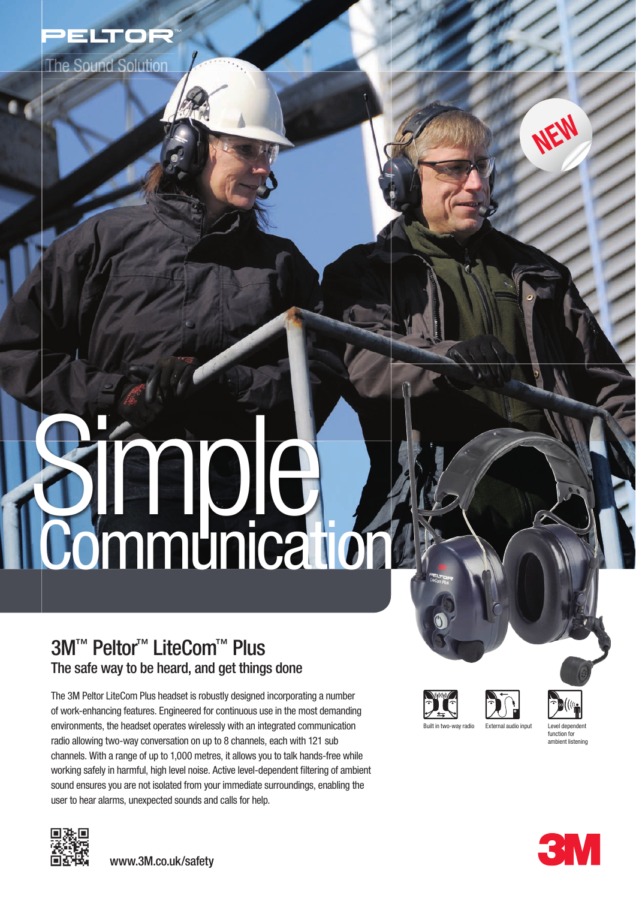

The Sound Solution

# **Simple Communication**

# 3M™ Peltor<sup>™</sup> LiteCom™ Plus The safe way to be heard, and get things done

The 3M Peltor LiteCom Plus headset is robustly designed incorporating a number of work-enhancing features. Engineered for continuous use in the most demanding environments, the headset operates wirelessly with an integrated communication radio allowing two-way conversation on up to 8 channels, each with 121 sub channels. With a range of up to 1,000 metres, it allows you to talk hands-free while working safely in harmful, high level noise. Active level-dependent filtering of ambient sound ensures you are not isolated from your immediate surroundings, enabling the user to hear alarms, unexpected sounds and calls for help.



www.3M.co.uk/safety







function for ambient listening

**NEW**

**3M**